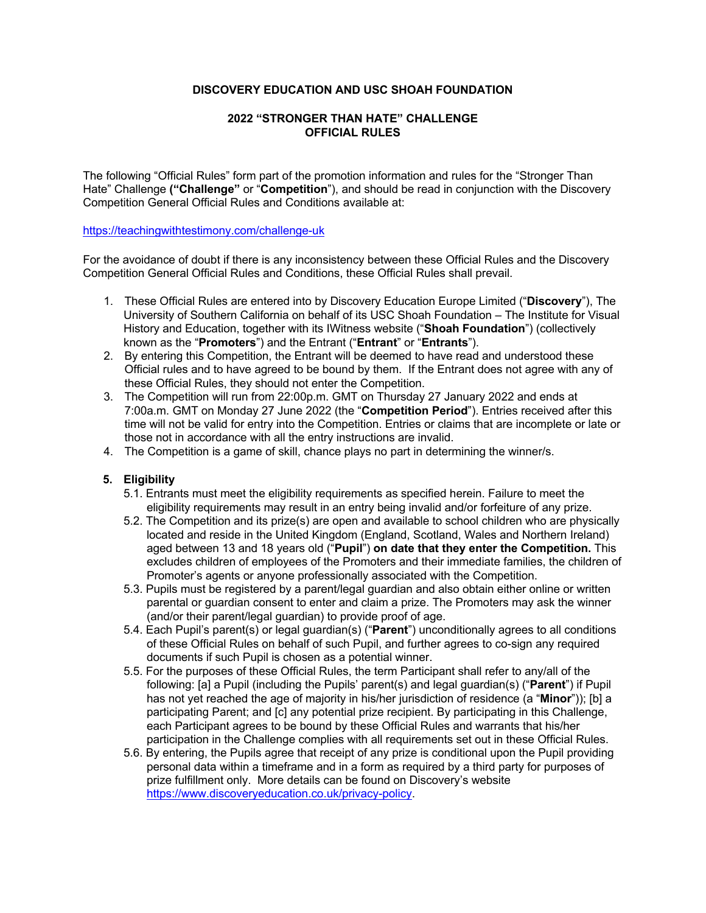## **DISCOVERY EDUCATION AND USC SHOAH FOUNDATION**

## **2022 "STRONGER THAN HATE" CHALLENGE OFFICIAL RULES**

The following "Official Rules" form part of the promotion information and rules for the "Stronger Than Hate" Challenge **("Challenge"** or "**Competition**"), and should be read in conjunction with the Discovery Competition General Official Rules and Conditions available at:

#### https://teachingwithtestimony.com/challenge-uk

For the avoidance of doubt if there is any inconsistency between these Official Rules and the Discovery Competition General Official Rules and Conditions, these Official Rules shall prevail.

- 1. These Official Rules are entered into by Discovery Education Europe Limited ("**Discovery**"), The University of Southern California on behalf of its USC Shoah Foundation – The Institute for Visual History and Education, together with its IWitness website ("**Shoah Foundation**") (collectively known as the "**Promoters**") and the Entrant ("**Entrant**" or "**Entrants**").
- 2. By entering this Competition, the Entrant will be deemed to have read and understood these Official rules and to have agreed to be bound by them. If the Entrant does not agree with any of these Official Rules, they should not enter the Competition.
- 3. The Competition will run from 22:00p.m. GMT on Thursday 27 January 2022 and ends at 7:00a.m. GMT on Monday 27 June 2022 (the "**Competition Period**"). Entries received after this time will not be valid for entry into the Competition. Entries or claims that are incomplete or late or those not in accordance with all the entry instructions are invalid.
- 4. The Competition is a game of skill, chance plays no part in determining the winner/s.

## **5. Eligibility**

- 5.1. Entrants must meet the eligibility requirements as specified herein. Failure to meet the eligibility requirements may result in an entry being invalid and/or forfeiture of any prize.
- 5.2. The Competition and its prize(s) are open and available to school children who are physically located and reside in the United Kingdom (England, Scotland, Wales and Northern Ireland) aged between 13 and 18 years old ("**Pupil**") **on date that they enter the Competition.** This excludes children of employees of the Promoters and their immediate families, the children of Promoter's agents or anyone professionally associated with the Competition.
- 5.3. Pupils must be registered by a parent/legal guardian and also obtain either online or written parental or guardian consent to enter and claim a prize. The Promoters may ask the winner (and/or their parent/legal guardian) to provide proof of age.
- 5.4. Each Pupil's parent(s) or legal guardian(s) ("**Parent**") unconditionally agrees to all conditions of these Official Rules on behalf of such Pupil, and further agrees to co-sign any required documents if such Pupil is chosen as a potential winner.
- 5.5. For the purposes of these Official Rules, the term Participant shall refer to any/all of the following: [a] a Pupil (including the Pupils' parent(s) and legal guardian(s) ("**Parent**") if Pupil has not yet reached the age of majority in his/her jurisdiction of residence (a "**Minor**")); [b] a participating Parent; and [c] any potential prize recipient. By participating in this Challenge, each Participant agrees to be bound by these Official Rules and warrants that his/her participation in the Challenge complies with all requirements set out in these Official Rules.
- 5.6. By entering, the Pupils agree that receipt of any prize is conditional upon the Pupil providing personal data within a timeframe and in a form as required by a third party for purposes of prize fulfillment only. More details can be found on Discovery's website https://www.discoveryeducation.co.uk/privacy-policy.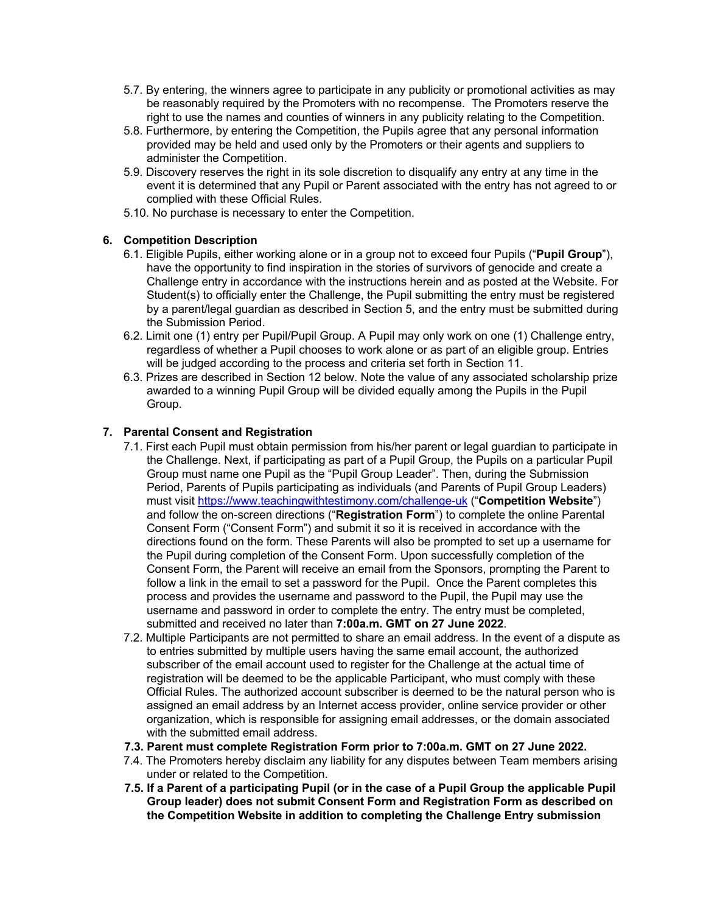- 5.7. By entering, the winners agree to participate in any publicity or promotional activities as may be reasonably required by the Promoters with no recompense. The Promoters reserve the right to use the names and counties of winners in any publicity relating to the Competition.
- 5.8. Furthermore, by entering the Competition, the Pupils agree that any personal information provided may be held and used only by the Promoters or their agents and suppliers to administer the Competition.
- 5.9. Discovery reserves the right in its sole discretion to disqualify any entry at any time in the event it is determined that any Pupil or Parent associated with the entry has not agreed to or complied with these Official Rules.
- 5.10. No purchase is necessary to enter the Competition.

## **6. Competition Description**

- 6.1. Eligible Pupils, either working alone or in a group not to exceed four Pupils ("**Pupil Group**"), have the opportunity to find inspiration in the stories of survivors of genocide and create a Challenge entry in accordance with the instructions herein and as posted at the Website. For Student(s) to officially enter the Challenge, the Pupil submitting the entry must be registered by a parent/legal guardian as described in Section 5, and the entry must be submitted during the Submission Period.
- 6.2. Limit one (1) entry per Pupil/Pupil Group. A Pupil may only work on one (1) Challenge entry, regardless of whether a Pupil chooses to work alone or as part of an eligible group. Entries will be judged according to the process and criteria set forth in Section 11.
- 6.3. Prizes are described in Section 12 below. Note the value of any associated scholarship prize awarded to a winning Pupil Group will be divided equally among the Pupils in the Pupil Group.

## **7. Parental Consent and Registration**

- 7.1. First each Pupil must obtain permission from his/her parent or legal guardian to participate in the Challenge. Next, if participating as part of a Pupil Group, the Pupils on a particular Pupil Group must name one Pupil as the "Pupil Group Leader". Then, during the Submission Period, Parents of Pupils participating as individuals (and Parents of Pupil Group Leaders) must visit https://www.teachingwithtestimony.com/challenge-uk ("**Competition Website**") and follow the on-screen directions ("**Registration Form**") to complete the online Parental Consent Form ("Consent Form") and submit it so it is received in accordance with the directions found on the form. These Parents will also be prompted to set up a username for the Pupil during completion of the Consent Form. Upon successfully completion of the Consent Form, the Parent will receive an email from the Sponsors, prompting the Parent to follow a link in the email to set a password for the Pupil. Once the Parent completes this process and provides the username and password to the Pupil, the Pupil may use the username and password in order to complete the entry. The entry must be completed, submitted and received no later than **7:00a.m. GMT on 27 June 2022**.
- 7.2. Multiple Participants are not permitted to share an email address. In the event of a dispute as to entries submitted by multiple users having the same email account, the authorized subscriber of the email account used to register for the Challenge at the actual time of registration will be deemed to be the applicable Participant, who must comply with these Official Rules. The authorized account subscriber is deemed to be the natural person who is assigned an email address by an Internet access provider, online service provider or other organization, which is responsible for assigning email addresses, or the domain associated with the submitted email address.
- **7.3. Parent must complete Registration Form prior to 7:00a.m. GMT on 27 June 2022.**
- 7.4. The Promoters hereby disclaim any liability for any disputes between Team members arising under or related to the Competition.
- **7.5. If a Parent of a participating Pupil (or in the case of a Pupil Group the applicable Pupil Group leader) does not submit Consent Form and Registration Form as described on the Competition Website in addition to completing the Challenge Entry submission**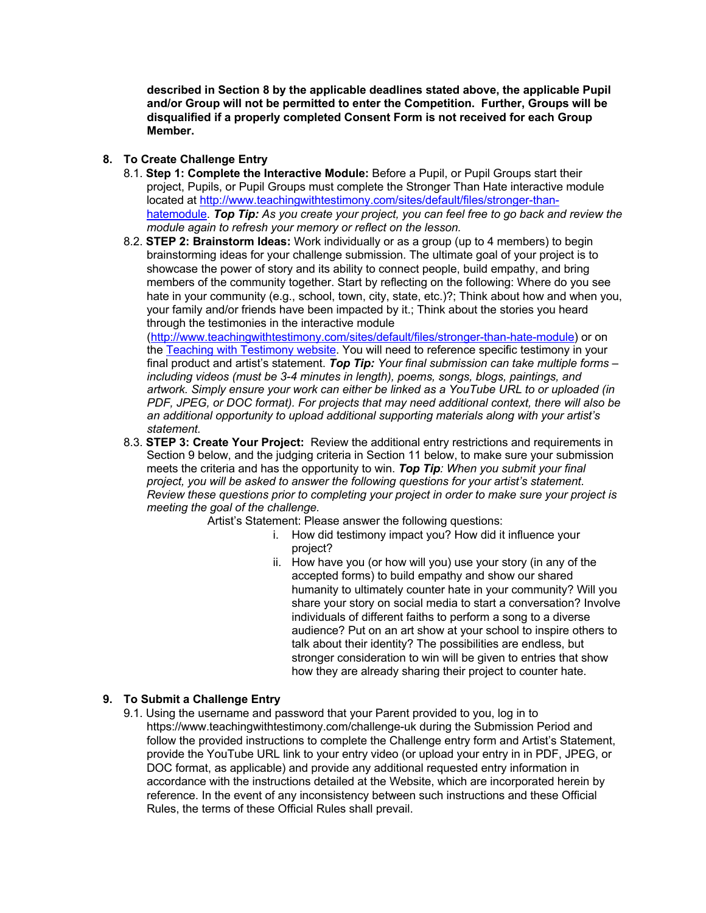**described in Section 8 by the applicable deadlines stated above, the applicable Pupil and/or Group will not be permitted to enter the Competition. Further, Groups will be disqualified if a properly completed Consent Form is not received for each Group Member.** 

## **8. To Create Challenge Entry**

- 8.1. **Step 1: Complete the Interactive Module:** Before a Pupil, or Pupil Groups start their project, Pupils, or Pupil Groups must complete the Stronger Than Hate interactive module located at http://www.teachingwithtestimony.com/sites/default/files/stronger-thanhatemodule. *Top Tip: As you create your project, you can feel free to go back and review the module again to refresh your memory or reflect on the lesson.*
- 8.2. **STEP 2: Brainstorm Ideas:** Work individually or as a group (up to 4 members) to begin brainstorming ideas for your challenge submission. The ultimate goal of your project is to showcase the power of story and its ability to connect people, build empathy, and bring members of the community together. Start by reflecting on the following: Where do you see hate in your community (e.g., school, town, city, state, etc.)?; Think about how and when you, your family and/or friends have been impacted by it.; Think about the stories you heard through the testimonies in the interactive module

(http://www.teachingwithtestimony.com/sites/default/files/stronger-than-hate-module) or on the Teaching with Testimony website. You will need to reference specific testimony in your final product and artist's statement. *Top Tip: Your final submission can take multiple forms – including videos (must be 3-4 minutes in length), poems, songs, blogs, paintings, and artwork. Simply ensure your work can either be linked as a YouTube URL to or uploaded (in PDF, JPEG, or DOC format). For projects that may need additional context, there will also be an additional opportunity to upload additional supporting materials along with your artist's statement.*

8.3. **STEP 3: Create Your Project:** Review the additional entry restrictions and requirements in Section 9 below, and the judging criteria in Section 11 below, to make sure your submission meets the criteria and has the opportunity to win. *Top Tip: When you submit your final project, you will be asked to answer the following questions for your artist's statement. Review these questions prior to completing your project in order to make sure your project is meeting the goal of the challenge.*

Artist's Statement: Please answer the following questions:

- i. How did testimony impact you? How did it influence your project?
- ii. How have you (or how will you) use your story (in any of the accepted forms) to build empathy and show our shared humanity to ultimately counter hate in your community? Will you share your story on social media to start a conversation? Involve individuals of different faiths to perform a song to a diverse audience? Put on an art show at your school to inspire others to talk about their identity? The possibilities are endless, but stronger consideration to win will be given to entries that show how they are already sharing their project to counter hate.

## **9. To Submit a Challenge Entry**

9.1. Using the username and password that your Parent provided to you, log in to https://www.teachingwithtestimony.com/challenge-uk during the Submission Period and follow the provided instructions to complete the Challenge entry form and Artist's Statement, provide the YouTube URL link to your entry video (or upload your entry in in PDF, JPEG, or DOC format, as applicable) and provide any additional requested entry information in accordance with the instructions detailed at the Website, which are incorporated herein by reference. In the event of any inconsistency between such instructions and these Official Rules, the terms of these Official Rules shall prevail.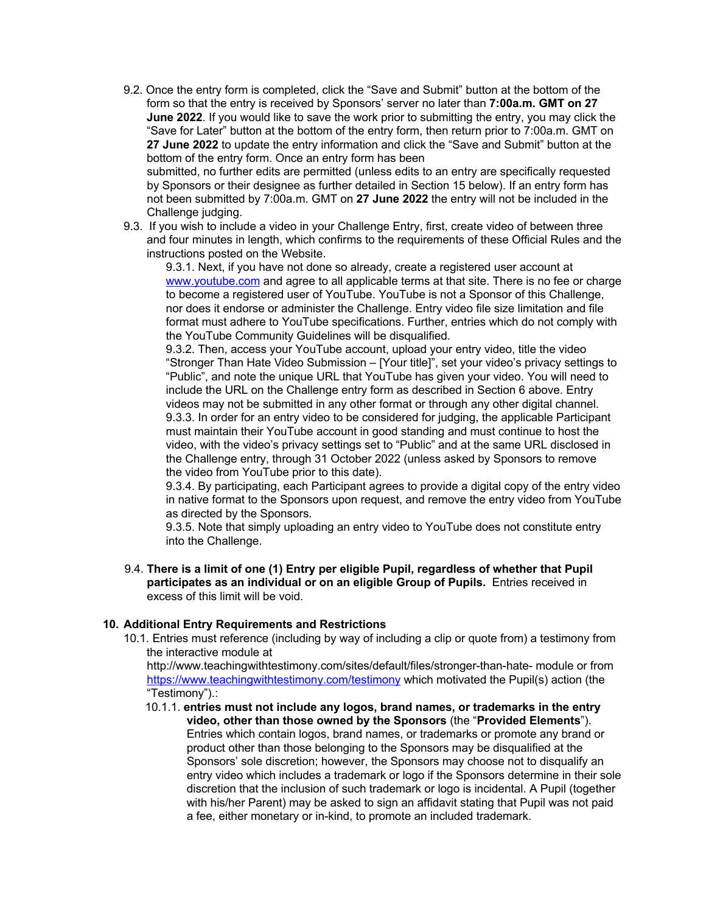9.2. Once the entry form is completed, click the "Save and Submit" button at the bottom of the form so that the entry is received by Sponsors' server no later than **7:00a.m. GMT on 27 June 2022**. If you would like to save the work prior to submitting the entry, you may click the "Save for Later" button at the bottom of the entry form, then return prior to 7:00a.m. GMT on **27 June 2022** to update the entry information and click the "Save and Submit" button at the bottom of the entry form. Once an entry form has been

submitted, no further edits are permitted (unless edits to an entry are specifically requested by Sponsors or their designee as further detailed in Section 15 below). If an entry form has not been submitted by 7:00a.m. GMT on **27 June 2022** the entry will not be included in the Challenge judging.

9.3. If you wish to include a video in your Challenge Entry, first, create video of between three and four minutes in length, which confirms to the requirements of these Official Rules and the instructions posted on the Website.

9.3.1. Next, if you have not done so already, create a registered user account at www.youtube.com and agree to all applicable terms at that site. There is no fee or charge to become a registered user of YouTube. YouTube is not a Sponsor of this Challenge, nor does it endorse or administer the Challenge. Entry video file size limitation and file format must adhere to YouTube specifications. Further, entries which do not comply with the YouTube Community Guidelines will be disqualified.

9.3.2. Then, access your YouTube account, upload your entry video, title the video "Stronger Than Hate Video Submission – [Your title]", set your video's privacy settings to "Public", and note the unique URL that YouTube has given your video. You will need to include the URL on the Challenge entry form as described in Section 6 above. Entry videos may not be submitted in any other format or through any other digital channel. 9.3.3. In order for an entry video to be considered for judging, the applicable Participant must maintain their YouTube account in good standing and must continue to host the video, with the video's privacy settings set to "Public" and at the same URL disclosed in the Challenge entry, through 31 October 2022 (unless asked by Sponsors to remove the video from YouTube prior to this date).

9.3.4. By participating, each Participant agrees to provide a digital copy of the entry video in native format to the Sponsors upon request, and remove the entry video from YouTube as directed by the Sponsors.

9.3.5. Note that simply uploading an entry video to YouTube does not constitute entry into the Challenge.

9.4. **There is a limit of one (1) Entry per eligible Pupil, regardless of whether that Pupil participates as an individual or on an eligible Group of Pupils.** Entries received in excess of this limit will be void.

## **10. Additional Entry Requirements and Restrictions**

10.1. Entries must reference (including by way of including a clip or quote from) a testimony from the interactive module at

http://www.teachingwithtestimony.com/sites/default/files/stronger-than-hate- module or from https://www.teachingwithtestimony.com/testimony which motivated the Pupil(s) action (the "Testimony").:

10.1.1. **entries must not include any logos, brand names, or trademarks in the entry video, other than those owned by the Sponsors** (the "**Provided Elements**"). Entries which contain logos, brand names, or trademarks or promote any brand or product other than those belonging to the Sponsors may be disqualified at the Sponsors' sole discretion; however, the Sponsors may choose not to disqualify an entry video which includes a trademark or logo if the Sponsors determine in their sole discretion that the inclusion of such trademark or logo is incidental. A Pupil (together with his/her Parent) may be asked to sign an affidavit stating that Pupil was not paid a fee, either monetary or in-kind, to promote an included trademark.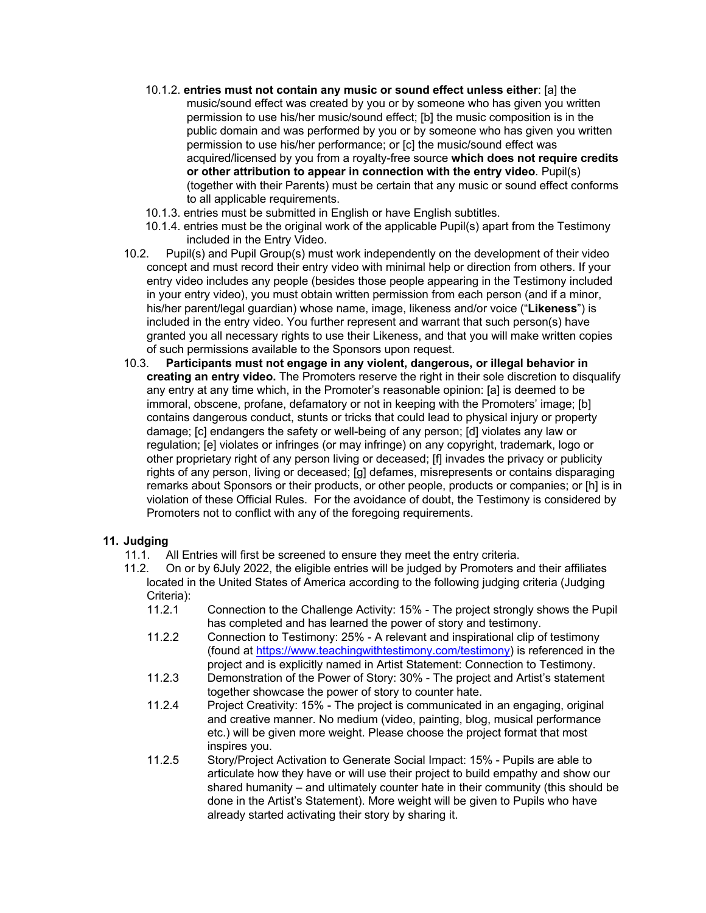- 10.1.2. **entries must not contain any music or sound effect unless either**: [a] the music/sound effect was created by you or by someone who has given you written permission to use his/her music/sound effect; [b] the music composition is in the public domain and was performed by you or by someone who has given you written permission to use his/her performance; or [c] the music/sound effect was acquired/licensed by you from a royalty-free source **which does not require credits or other attribution to appear in connection with the entry video**. Pupil(s) (together with their Parents) must be certain that any music or sound effect conforms to all applicable requirements.
- 10.1.3. entries must be submitted in English or have English subtitles.
- 10.1.4. entries must be the original work of the applicable Pupil(s) apart from the Testimony included in the Entry Video.
- 10.2. Pupil(s) and Pupil Group(s) must work independently on the development of their video concept and must record their entry video with minimal help or direction from others. If your entry video includes any people (besides those people appearing in the Testimony included in your entry video), you must obtain written permission from each person (and if a minor, his/her parent/legal guardian) whose name, image, likeness and/or voice ("**Likeness**") is included in the entry video. You further represent and warrant that such person(s) have granted you all necessary rights to use their Likeness, and that you will make written copies of such permissions available to the Sponsors upon request.
- 10.3. **Participants must not engage in any violent, dangerous, or illegal behavior in creating an entry video.** The Promoters reserve the right in their sole discretion to disqualify any entry at any time which, in the Promoter's reasonable opinion: [a] is deemed to be immoral, obscene, profane, defamatory or not in keeping with the Promoters' image; [b] contains dangerous conduct, stunts or tricks that could lead to physical injury or property damage; [c] endangers the safety or well-being of any person; [d] violates any law or regulation; [e] violates or infringes (or may infringe) on any copyright, trademark, logo or other proprietary right of any person living or deceased; [f] invades the privacy or publicity rights of any person, living or deceased; [g] defames, misrepresents or contains disparaging remarks about Sponsors or their products, or other people, products or companies; or [h] is in violation of these Official Rules. For the avoidance of doubt, the Testimony is considered by Promoters not to conflict with any of the foregoing requirements.

## **11. Judging**

- 11.1. All Entries will first be screened to ensure they meet the entry criteria.
- 11.2. On or by 6July 2022, the eligible entries will be judged by Promoters and their affiliates located in the United States of America according to the following judging criteria (Judging Criteria):
	- 11.2.1 Connection to the Challenge Activity: 15% The project strongly shows the Pupil has completed and has learned the power of story and testimony.
	- 11.2.2 Connection to Testimony: 25% A relevant and inspirational clip of testimony (found at https://www.teachingwithtestimony.com/testimony) is referenced in the project and is explicitly named in Artist Statement: Connection to Testimony.
	- 11.2.3 Demonstration of the Power of Story: 30% The project and Artist's statement together showcase the power of story to counter hate.
	- 11.2.4 Project Creativity: 15% The project is communicated in an engaging, original and creative manner. No medium (video, painting, blog, musical performance etc.) will be given more weight. Please choose the project format that most inspires you.
	- 11.2.5 Story/Project Activation to Generate Social Impact: 15% Pupils are able to articulate how they have or will use their project to build empathy and show our shared humanity – and ultimately counter hate in their community (this should be done in the Artist's Statement). More weight will be given to Pupils who have already started activating their story by sharing it.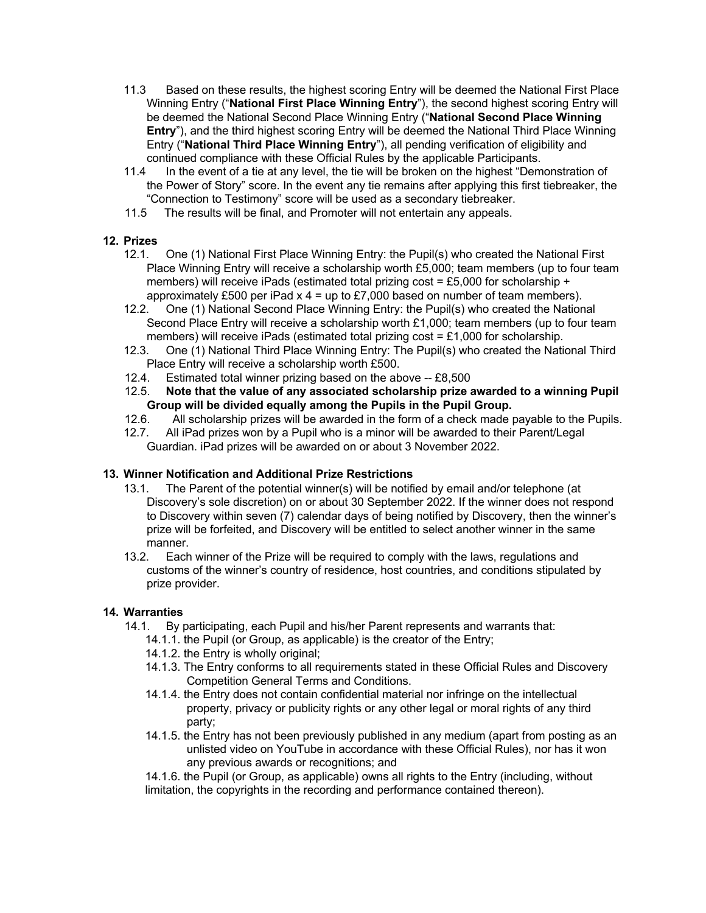- 11.3 Based on these results, the highest scoring Entry will be deemed the National First Place Winning Entry ("**National First Place Winning Entry**"), the second highest scoring Entry will be deemed the National Second Place Winning Entry ("**National Second Place Winning Entry**"), and the third highest scoring Entry will be deemed the National Third Place Winning Entry ("**National Third Place Winning Entry**"), all pending verification of eligibility and continued compliance with these Official Rules by the applicable Participants.
- 11.4 In the event of a tie at any level, the tie will be broken on the highest "Demonstration of the Power of Story" score. In the event any tie remains after applying this first tiebreaker, the "Connection to Testimony" score will be used as a secondary tiebreaker.
- 11.5 The results will be final, and Promoter will not entertain any appeals.

# **12. Prizes**

- 12.1. One (1) National First Place Winning Entry: the Pupil(s) who created the National First Place Winning Entry will receive a scholarship worth £5,000; team members (up to four team members) will receive iPads (estimated total prizing cost = £5,000 for scholarship + approximately £500 per iPad  $x$  4 = up to £7,000 based on number of team members).
- 12.2. One (1) National Second Place Winning Entry: the Pupil(s) who created the National Second Place Entry will receive a scholarship worth £1,000; team members (up to four team members) will receive iPads (estimated total prizing cost = £1,000 for scholarship.
- 12.3. One (1) National Third Place Winning Entry: The Pupil(s) who created the National Third Place Entry will receive a scholarship worth £500.
- 12.4. Estimated total winner prizing based on the above -- £8,500
- 12.5. **Note that the value of any associated scholarship prize awarded to a winning Pupil Group will be divided equally among the Pupils in the Pupil Group.**
- 12.6. All scholarship prizes will be awarded in the form of a check made payable to the Pupils.
- 12.7. All iPad prizes won by a Pupil who is a minor will be awarded to their Parent/Legal Guardian. iPad prizes will be awarded on or about 3 November 2022.

## **13. Winner Notification and Additional Prize Restrictions**

- 13.1. The Parent of the potential winner(s) will be notified by email and/or telephone (at Discovery's sole discretion) on or about 30 September 2022. If the winner does not respond to Discovery within seven (7) calendar days of being notified by Discovery, then the winner's prize will be forfeited, and Discovery will be entitled to select another winner in the same manner.
- 13.2. Each winner of the Prize will be required to comply with the laws, regulations and customs of the winner's country of residence, host countries, and conditions stipulated by prize provider.

## **14. Warranties**

- 14.1. By participating, each Pupil and his/her Parent represents and warrants that:
	- 14.1.1. the Pupil (or Group, as applicable) is the creator of the Entry;
	- 14.1.2. the Entry is wholly original;
	- 14.1.3. The Entry conforms to all requirements stated in these Official Rules and Discovery Competition General Terms and Conditions.
	- 14.1.4. the Entry does not contain confidential material nor infringe on the intellectual property, privacy or publicity rights or any other legal or moral rights of any third party;
	- 14.1.5. the Entry has not been previously published in any medium (apart from posting as an unlisted video on YouTube in accordance with these Official Rules), nor has it won any previous awards or recognitions; and

14.1.6. the Pupil (or Group, as applicable) owns all rights to the Entry (including, without limitation, the copyrights in the recording and performance contained thereon).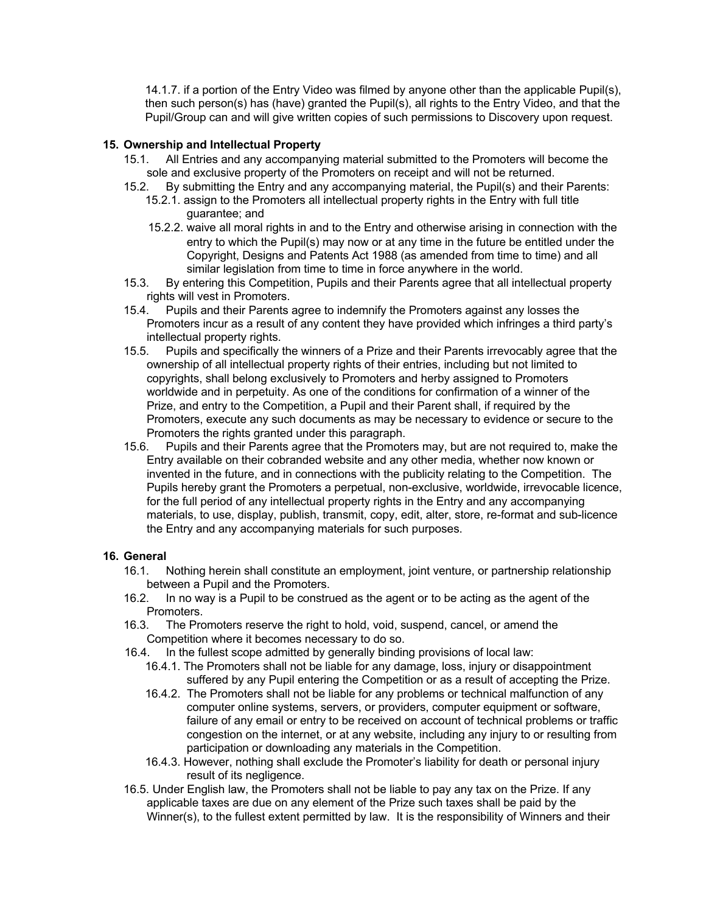14.1.7. if a portion of the Entry Video was filmed by anyone other than the applicable Pupil(s), then such person(s) has (have) granted the Pupil(s), all rights to the Entry Video, and that the Pupil/Group can and will give written copies of such permissions to Discovery upon request.

#### **15. Ownership and Intellectual Property**

- 15.1. All Entries and any accompanying material submitted to the Promoters will become the sole and exclusive property of the Promoters on receipt and will not be returned.
- 15.2. By submitting the Entry and any accompanying material, the Pupil(s) and their Parents:
	- 15.2.1. assign to the Promoters all intellectual property rights in the Entry with full title guarantee; and
	- 15.2.2. waive all moral rights in and to the Entry and otherwise arising in connection with the entry to which the Pupil(s) may now or at any time in the future be entitled under the Copyright, Designs and Patents Act 1988 (as amended from time to time) and all similar legislation from time to time in force anywhere in the world.
- 15.3. By entering this Competition, Pupils and their Parents agree that all intellectual property rights will vest in Promoters.
- 15.4. Pupils and their Parents agree to indemnify the Promoters against any losses the Promoters incur as a result of any content they have provided which infringes a third party's intellectual property rights.
- 15.5. Pupils and specifically the winners of a Prize and their Parents irrevocably agree that the ownership of all intellectual property rights of their entries, including but not limited to copyrights, shall belong exclusively to Promoters and herby assigned to Promoters worldwide and in perpetuity. As one of the conditions for confirmation of a winner of the Prize, and entry to the Competition, a Pupil and their Parent shall, if required by the Promoters, execute any such documents as may be necessary to evidence or secure to the Promoters the rights granted under this paragraph.
- 15.6. Pupils and their Parents agree that the Promoters may, but are not required to, make the Entry available on their cobranded website and any other media, whether now known or invented in the future, and in connections with the publicity relating to the Competition. The Pupils hereby grant the Promoters a perpetual, non-exclusive, worldwide, irrevocable licence, for the full period of any intellectual property rights in the Entry and any accompanying materials, to use, display, publish, transmit, copy, edit, alter, store, re-format and sub-licence the Entry and any accompanying materials for such purposes.

#### **16. General**

- 16.1. Nothing herein shall constitute an employment, joint venture, or partnership relationship between a Pupil and the Promoters.
- 16.2. In no way is a Pupil to be construed as the agent or to be acting as the agent of the Promoters.
- 16.3. The Promoters reserve the right to hold, void, suspend, cancel, or amend the Competition where it becomes necessary to do so.
- 16.4. In the fullest scope admitted by generally binding provisions of local law:
	- 16.4.1. The Promoters shall not be liable for any damage, loss, injury or disappointment suffered by any Pupil entering the Competition or as a result of accepting the Prize.
	- 16.4.2. The Promoters shall not be liable for any problems or technical malfunction of any computer online systems, servers, or providers, computer equipment or software, failure of any email or entry to be received on account of technical problems or traffic congestion on the internet, or at any website, including any injury to or resulting from participation or downloading any materials in the Competition.
	- 16.4.3. However, nothing shall exclude the Promoter's liability for death or personal injury result of its negligence.
- 16.5. Under English law, the Promoters shall not be liable to pay any tax on the Prize. If any applicable taxes are due on any element of the Prize such taxes shall be paid by the Winner(s), to the fullest extent permitted by law. It is the responsibility of Winners and their